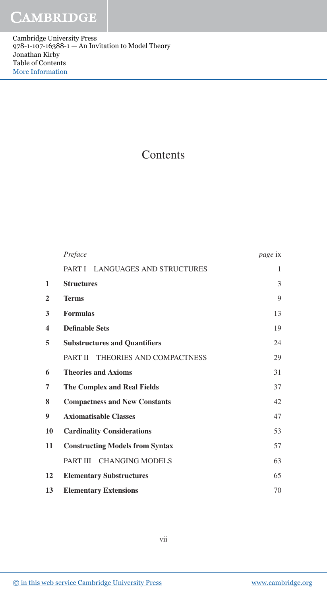Cambridge University Press 978-1-107-16388-1 — An Invitation to Model Theory Jonathan Kirby Table of Contents [More Information](www.cambridge.org/9781107163881)

## **Contents**

|                         | Preface                                    | <i>page</i> ix |
|-------------------------|--------------------------------------------|----------------|
|                         | PART I LANGUAGES AND STRUCTURES            | 1              |
| 1                       | <b>Structures</b>                          | 3              |
| $\overline{2}$          | <b>Terms</b>                               | 9              |
| 3                       | <b>Formulas</b>                            | 13             |
| $\overline{\mathbf{4}}$ | <b>Definable Sets</b>                      | 19             |
| 5                       | <b>Substructures and Quantifiers</b>       | 24             |
|                         | <b>PART II</b><br>THEORIES AND COMPACTNESS | 29             |
| 6                       | <b>Theories and Axioms</b>                 | 31             |
| 7                       | <b>The Complex and Real Fields</b>         | 37             |
| 8                       | <b>Compactness and New Constants</b>       | 42             |
| 9                       | <b>Axiomatisable Classes</b>               | 47             |
| 10                      | <b>Cardinality Considerations</b>          | 53             |
| 11                      | <b>Constructing Models from Syntax</b>     | 57             |
|                         | PART III<br><b>CHANGING MODELS</b>         | 63             |
| 12                      | <b>Elementary Substructures</b>            | 65             |
| 13                      | <b>Elementary Extensions</b>               | 70             |

[© in this web service Cambridge University Press](www.cambridge.org) www.cambridge.org